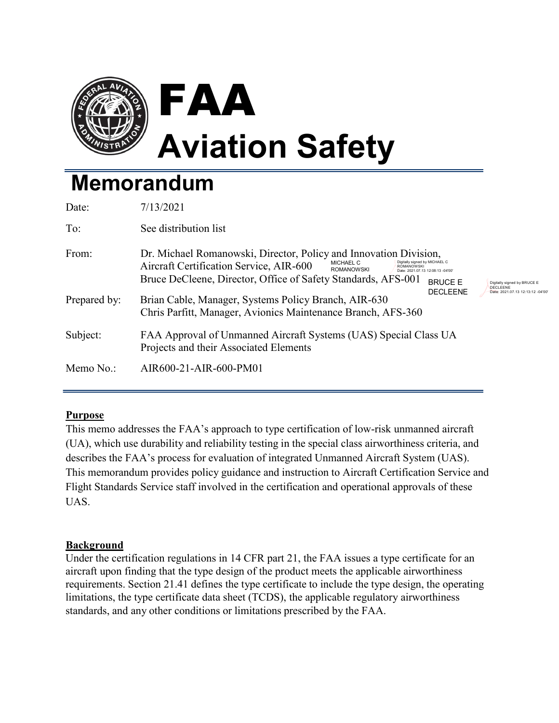

# **Memorandum**

| Date:        | 7/13/2021                                                                                                                                                                                                                                                                                                                                                               |
|--------------|-------------------------------------------------------------------------------------------------------------------------------------------------------------------------------------------------------------------------------------------------------------------------------------------------------------------------------------------------------------------------|
| To:          | See distribution list                                                                                                                                                                                                                                                                                                                                                   |
| From:        | Dr. Michael Romanowski, Director, Policy and Innovation Division,<br>Digitally signed by MICHAEL C<br>MICHAEL C<br>Aircraft Certification Service, AIR-600<br><b>ROMANOWSKI</b><br><b>ROMANOWSKI</b><br>Date: 2021.07.13 12:08:13 -04'00'<br>Bruce DeCleene, Director, Office of Safety Standards, AFS-001<br><b>BRUCE F</b><br>Digitally signed by BRUCE E<br>DECLEENE |
| Prepared by: | <b>DECLEENE</b><br>Date: 2021.07.13 12:13:12 -04'00<br>Brian Cable, Manager, Systems Policy Branch, AIR-630<br>Chris Parfitt, Manager, Avionics Maintenance Branch, AFS-360                                                                                                                                                                                             |
| Subject:     | FAA Approval of Unmanned Aircraft Systems (UAS) Special Class UA<br>Projects and their Associated Elements                                                                                                                                                                                                                                                              |
| Memo No.:    | AIR600-21-AIR-600-PM01                                                                                                                                                                                                                                                                                                                                                  |

# **Purpose**

This memo addresses the FAA's approach to type certification of low-risk unmanned aircraft (UA), which use durability and reliability testing in the special class airworthiness criteria, and describes the FAA's process for evaluation of integrated Unmanned Aircraft System (UAS). This memorandum provides policy guidance and instruction to Aircraft Certification Service and Flight Standards Service staff involved in the certification and operational approvals of these UAS.

# **Background**

Under the certification regulations in 14 CFR part 21, the FAA issues a type certificate for an aircraft upon finding that the type design of the product meets the applicable airworthiness requirements. Section 21.41 defines the type certificate to include the type design, the operating limitations, the type certificate data sheet (TCDS), the applicable regulatory airworthiness standards, and any other conditions or limitations prescribed by the FAA.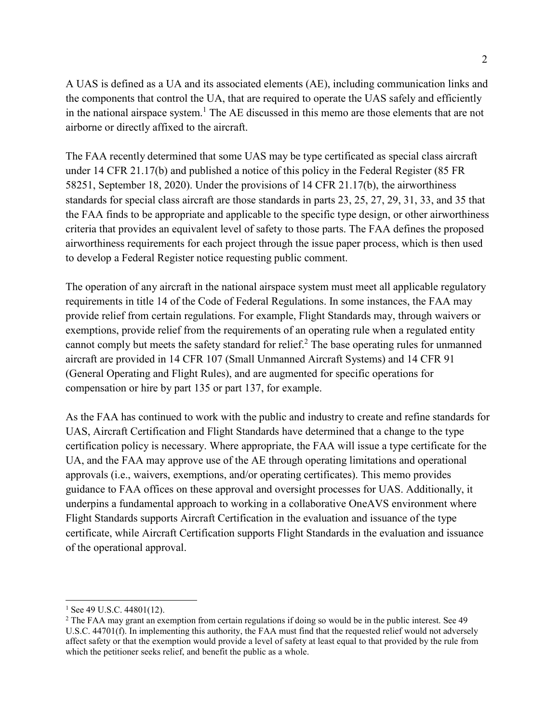A UAS is defined as a UA and its associated elements (AE), including communication links and the components that control the UA, that are required to operate the UAS safely and efficiently in the national airspace system.<sup>1</sup> The AE discussed in this memo are those elements that are not airborne or directly affixed to the aircraft.

The FAA recently determined that some UAS may be type certificated as special class aircraft under 14 CFR 21.17(b) and published a notice of this policy in the Federal Register (85 FR 58251, September 18, 2020). Under the provisions of 14 CFR 21.17(b), the airworthiness standards for special class aircraft are those standards in parts 23, 25, 27, 29, 31, 33, and 35 that the FAA finds to be appropriate and applicable to the specific type design, or other airworthiness criteria that provides an equivalent level of safety to those parts. The FAA defines the proposed airworthiness requirements for each project through the issue paper process, which is then used to develop a Federal Register notice requesting public comment.

The operation of any aircraft in the national airspace system must meet all applicable regulatory requirements in title 14 of the Code of Federal Regulations. In some instances, the FAA may provide relief from certain regulations. For example, Flight Standards may, through waivers or exemptions, provide relief from the requirements of an operating rule when a regulated entity cannot comply but meets the safety standard for relief.<sup>2</sup> The base operating rules for unmanned aircraft are provided in 14 CFR 107 (Small Unmanned Aircraft Systems) and 14 CFR 91 (General Operating and Flight Rules), and are augmented for specific operations for compensation or hire by part 135 or part 137, for example.

As the FAA has continued to work with the public and industry to create and refine standards for UAS, Aircraft Certification and Flight Standards have determined that a change to the type certification policy is necessary. Where appropriate, the FAA will issue a type certificate for the UA, and the FAA may approve use of the AE through operating limitations and operational approvals (i.e., waivers, exemptions, and/or operating certificates). This memo provides guidance to FAA offices on these approval and oversight processes for UAS. Additionally, it underpins a fundamental approach to working in a collaborative OneAVS environment where Flight Standards supports Aircraft Certification in the evaluation and issuance of the type certificate, while Aircraft Certification supports Flight Standards in the evaluation and issuance of the operational approval.

<span id="page-1-0"></span> $1$  See 49 U.S.C. 44801(12).

<span id="page-1-1"></span><sup>&</sup>lt;sup>2</sup> The FAA may grant an exemption from certain regulations if doing so would be in the public interest. See 49 U.S.C. 44701(f). In implementing this authority, the FAA must find that the requested relief would not adversely affect safety or that the exemption would provide a level of safety at least equal to that provided by the rule from which the petitioner seeks relief, and benefit the public as a whole.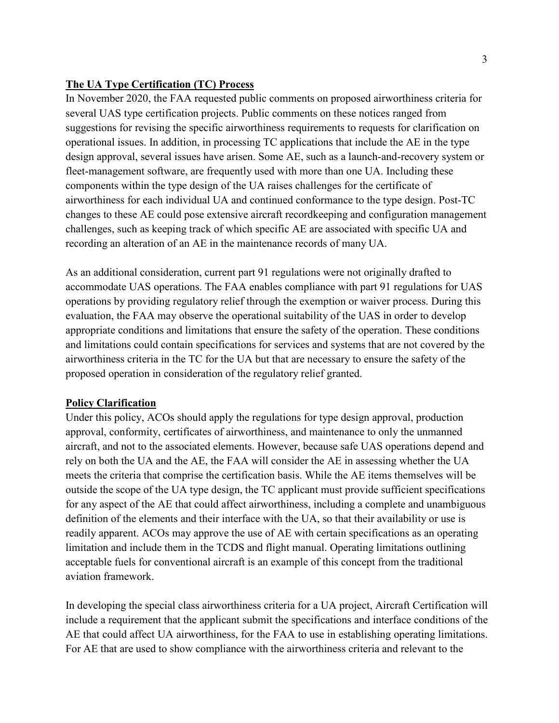#### **The UA Type Certification (TC) Process**

In November 2020, the FAA requested public comments on proposed airworthiness criteria for several UAS type certification projects. Public comments on these notices ranged from suggestions for revising the specific airworthiness requirements to requests for clarification on operational issues. In addition, in processing TC applications that include the AE in the type design approval, several issues have arisen. Some AE, such as a launch-and-recovery system or fleet-management software, are frequently used with more than one UA. Including these components within the type design of the UA raises challenges for the certificate of airworthiness for each individual UA and continued conformance to the type design. Post-TC changes to these AE could pose extensive aircraft recordkeeping and configuration management challenges, such as keeping track of which specific AE are associated with specific UA and recording an alteration of an AE in the maintenance records of many UA.

As an additional consideration, current part 91 regulations were not originally drafted to accommodate UAS operations. The FAA enables compliance with part 91 regulations for UAS operations by providing regulatory relief through the exemption or waiver process. During this evaluation, the FAA may observe the operational suitability of the UAS in order to develop appropriate conditions and limitations that ensure the safety of the operation. These conditions and limitations could contain specifications for services and systems that are not covered by the airworthiness criteria in the TC for the UA but that are necessary to ensure the safety of the proposed operation in consideration of the regulatory relief granted.

#### **Policy Clarification**

Under this policy, ACOs should apply the regulations for type design approval, production approval, conformity, certificates of airworthiness, and maintenance to only the unmanned aircraft, and not to the associated elements. However, because safe UAS operations depend and rely on both the UA and the AE, the FAA will consider the AE in assessing whether the UA meets the criteria that comprise the certification basis. While the AE items themselves will be outside the scope of the UA type design, the TC applicant must provide sufficient specifications for any aspect of the AE that could affect airworthiness, including a complete and unambiguous definition of the elements and their interface with the UA, so that their availability or use is readily apparent. ACOs may approve the use of AE with certain specifications as an operating limitation and include them in the TCDS and flight manual. Operating limitations outlining acceptable fuels for conventional aircraft is an example of this concept from the traditional aviation framework.

In developing the special class airworthiness criteria for a UA project, Aircraft Certification will include a requirement that the applicant submit the specifications and interface conditions of the AE that could affect UA airworthiness, for the FAA to use in establishing operating limitations. For AE that are used to show compliance with the airworthiness criteria and relevant to the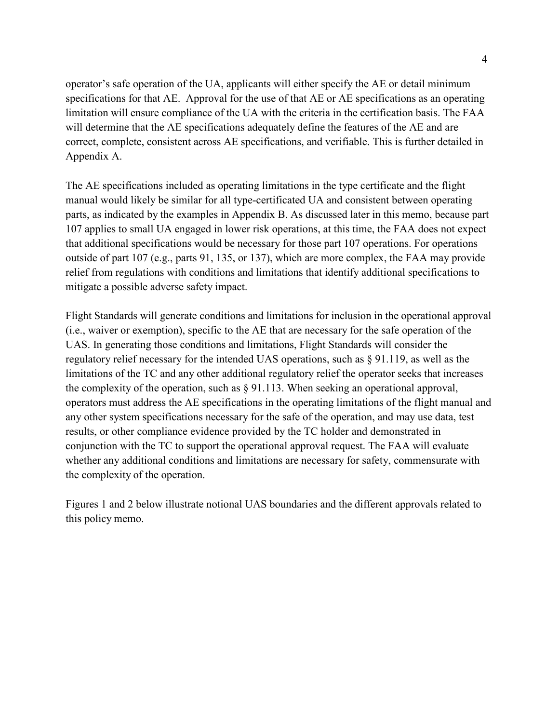operator's safe operation of the UA, applicants will either specify the AE or detail minimum specifications for that AE. Approval for the use of that AE or AE specifications as an operating limitation will ensure compliance of the UA with the criteria in the certification basis. The FAA will determine that the AE specifications adequately define the features of the AE and are correct, complete, consistent across AE specifications, and verifiable. This is further detailed in Appendix A.

The AE specifications included as operating limitations in the type certificate and the flight manual would likely be similar for all type-certificated UA and consistent between operating parts, as indicated by the examples in Appendix B. As discussed later in this memo, because part 107 applies to small UA engaged in lower risk operations, at this time, the FAA does not expect that additional specifications would be necessary for those part 107 operations. For operations outside of part 107 (e.g., parts 91, 135, or 137), which are more complex, the FAA may provide relief from regulations with conditions and limitations that identify additional specifications to mitigate a possible adverse safety impact.

Flight Standards will generate conditions and limitations for inclusion in the operational approval (i.e., waiver or exemption), specific to the AE that are necessary for the safe operation of the UAS. In generating those conditions and limitations, Flight Standards will consider the regulatory relief necessary for the intended UAS operations, such as § 91.119, as well as the limitations of the TC and any other additional regulatory relief the operator seeks that increases the complexity of the operation, such as § 91.113. When seeking an operational approval, operators must address the AE specifications in the operating limitations of the flight manual and any other system specifications necessary for the safe of the operation, and may use data, test results, or other compliance evidence provided by the TC holder and demonstrated in conjunction with the TC to support the operational approval request. The FAA will evaluate whether any additional conditions and limitations are necessary for safety, commensurate with the complexity of the operation.

Figures 1 and 2 below illustrate notional UAS boundaries and the different approvals related to this policy memo.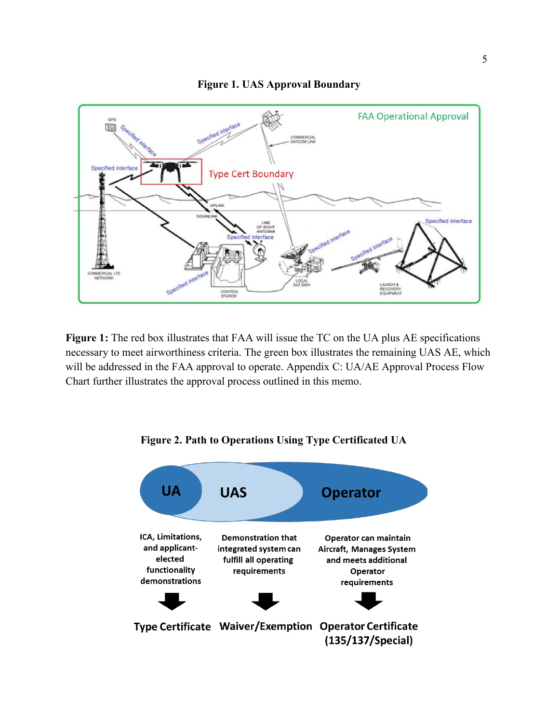#### **Figure 1. UAS Approval Boundary**



**Figure 1:** The red box illustrates that FAA will issue the TC on the UA plus AE specifications necessary to meet airworthiness criteria. The green box illustrates the remaining UAS AE, which will be addressed in the FAA approval to operate. Appendix C: UA/AE Approval Process Flow Chart further illustrates the approval process outlined in this memo.



#### **Figure 2. Path to Operations Using Type Certificated UA**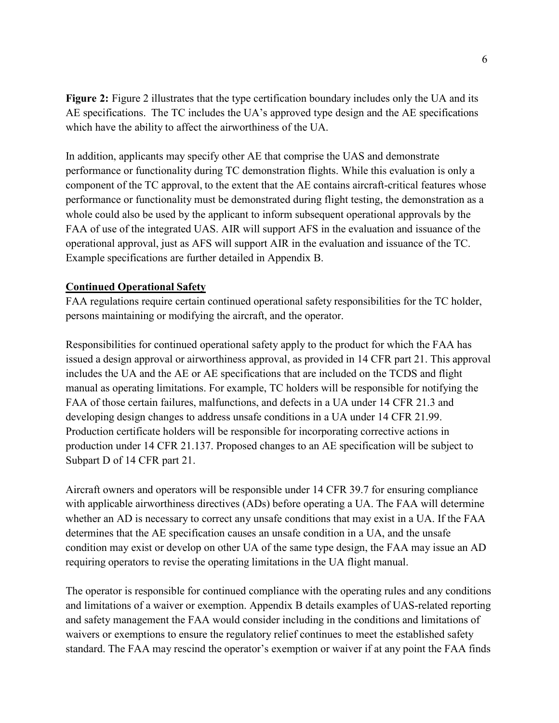**Figure 2:** Figure 2 illustrates that the type certification boundary includes only the UA and its AE specifications. The TC includes the UA's approved type design and the AE specifications which have the ability to affect the airworthiness of the UA.

In addition, applicants may specify other AE that comprise the UAS and demonstrate performance or functionality during TC demonstration flights. While this evaluation is only a component of the TC approval, to the extent that the AE contains aircraft-critical features whose performance or functionality must be demonstrated during flight testing, the demonstration as a whole could also be used by the applicant to inform subsequent operational approvals by the FAA of use of the integrated UAS. AIR will support AFS in the evaluation and issuance of the operational approval, just as AFS will support AIR in the evaluation and issuance of the TC. Example specifications are further detailed in Appendix B.

### **Continued Operational Safety**

FAA regulations require certain continued operational safety responsibilities for the TC holder, persons maintaining or modifying the aircraft, and the operator.

Responsibilities for continued operational safety apply to the product for which the FAA has issued a design approval or airworthiness approval, as provided in 14 CFR part 21. This approval includes the UA and the AE or AE specifications that are included on the TCDS and flight manual as operating limitations. For example, TC holders will be responsible for notifying the FAA of those certain failures, malfunctions, and defects in a UA under 14 CFR 21.3 and developing design changes to address unsafe conditions in a UA under 14 CFR 21.99. Production certificate holders will be responsible for incorporating corrective actions in production under 14 CFR 21.137. Proposed changes to an AE specification will be subject to Subpart D of 14 CFR part 21.

Aircraft owners and operators will be responsible under 14 CFR 39.7 for ensuring compliance with applicable airworthiness directives (ADs) before operating a UA. The FAA will determine whether an AD is necessary to correct any unsafe conditions that may exist in a UA. If the FAA determines that the AE specification causes an unsafe condition in a UA, and the unsafe condition may exist or develop on other UA of the same type design, the FAA may issue an AD requiring operators to revise the operating limitations in the UA flight manual.

The operator is responsible for continued compliance with the operating rules and any conditions and limitations of a waiver or exemption. Appendix B details examples of UAS-related reporting and safety management the FAA would consider including in the conditions and limitations of waivers or exemptions to ensure the regulatory relief continues to meet the established safety standard. The FAA may rescind the operator's exemption or waiver if at any point the FAA finds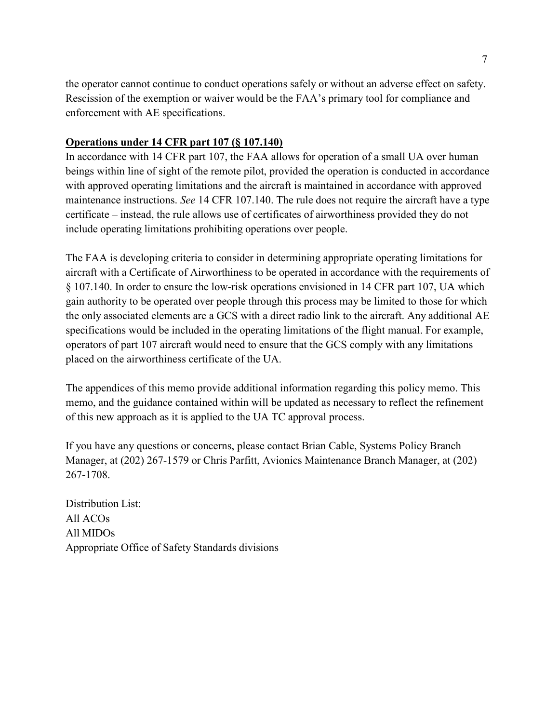the operator cannot continue to conduct operations safely or without an adverse effect on safety. Rescission of the exemption or waiver would be the FAA's primary tool for compliance and enforcement with AE specifications.

# **Operations under 14 CFR part 107 (§ 107.140)**

In accordance with 14 CFR part 107, the FAA allows for operation of a small UA over human beings within line of sight of the remote pilot, provided the operation is conducted in accordance with approved operating limitations and the aircraft is maintained in accordance with approved maintenance instructions. *See* 14 CFR 107.140. The rule does not require the aircraft have a type certificate – instead, the rule allows use of certificates of airworthiness provided they do not include operating limitations prohibiting operations over people.

The FAA is developing criteria to consider in determining appropriate operating limitations for aircraft with a Certificate of Airworthiness to be operated in accordance with the requirements of § 107.140. In order to ensure the low-risk operations envisioned in 14 CFR part 107, UA which gain authority to be operated over people through this process may be limited to those for which the only associated elements are a GCS with a direct radio link to the aircraft. Any additional AE specifications would be included in the operating limitations of the flight manual. For example, operators of part 107 aircraft would need to ensure that the GCS comply with any limitations placed on the airworthiness certificate of the UA.

The appendices of this memo provide additional information regarding this policy memo. This memo, and the guidance contained within will be updated as necessary to reflect the refinement of this new approach as it is applied to the UA TC approval process.

If you have any questions or concerns, please contact Brian Cable, Systems Policy Branch Manager, at (202) 267-1579 or Chris Parfitt, Avionics Maintenance Branch Manager, at (202) 267-1708.

Distribution List: All ACOs All MIDOs Appropriate Office of Safety Standards divisions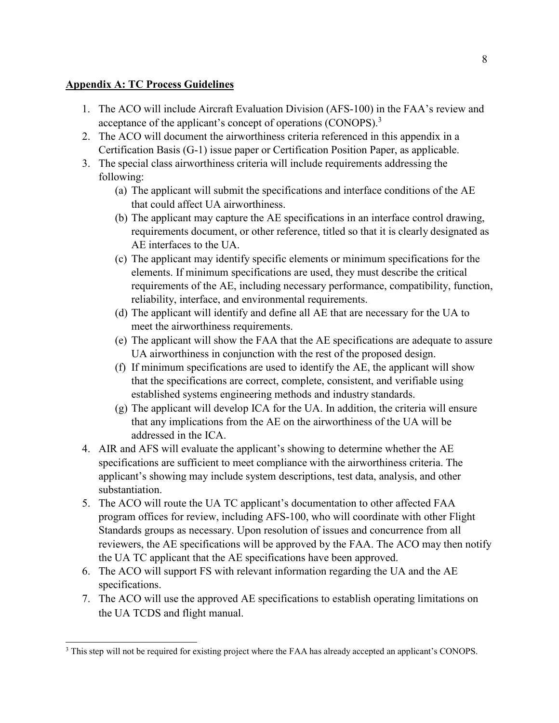# **Appendix A: TC Process Guidelines**

- 1. The ACO will include Aircraft Evaluation Division (AFS-100) in the FAA's review and acceptance of the applicant's concept of operations (CONOPS).<sup>3</sup>
- 2. The ACO will document the airworthiness criteria referenced in this appendix in a Certification Basis (G-1) issue paper or Certification Position Paper, as applicable.
- 3. The special class airworthiness criteria will include requirements addressing the following:
	- (a) The applicant will submit the specifications and interface conditions of the AE that could affect UA airworthiness.
	- (b) The applicant may capture the AE specifications in an interface control drawing, requirements document, or other reference, titled so that it is clearly designated as AE interfaces to the UA.
	- (c) The applicant may identify specific elements or minimum specifications for the elements. If minimum specifications are used, they must describe the critical requirements of the AE, including necessary performance, compatibility, function, reliability, interface, and environmental requirements.
	- (d) The applicant will identify and define all AE that are necessary for the UA to meet the airworthiness requirements.
	- (e) The applicant will show the FAA that the AE specifications are adequate to assure UA airworthiness in conjunction with the rest of the proposed design.
	- (f) If minimum specifications are used to identify the AE, the applicant will show that the specifications are correct, complete, consistent, and verifiable using established systems engineering methods and industry standards.
	- (g) The applicant will develop ICA for the UA. In addition, the criteria will ensure that any implications from the AE on the airworthiness of the UA will be addressed in the ICA.
- 4. AIR and AFS will evaluate the applicant's showing to determine whether the AE specifications are sufficient to meet compliance with the airworthiness criteria. The applicant's showing may include system descriptions, test data, analysis, and other substantiation.
- 5. The ACO will route the UA TC applicant's documentation to other affected FAA program offices for review, including AFS-100, who will coordinate with other Flight Standards groups as necessary. Upon resolution of issues and concurrence from all reviewers, the AE specifications will be approved by the FAA. The ACO may then notify the UA TC applicant that the AE specifications have been approved.
- 6. The ACO will support FS with relevant information regarding the UA and the AE specifications.
- 7. The ACO will use the approved AE specifications to establish operating limitations on the UA TCDS and flight manual.

<span id="page-7-0"></span><sup>3</sup> This step will not be required for existing project where the FAA has already accepted an applicant's CONOPS.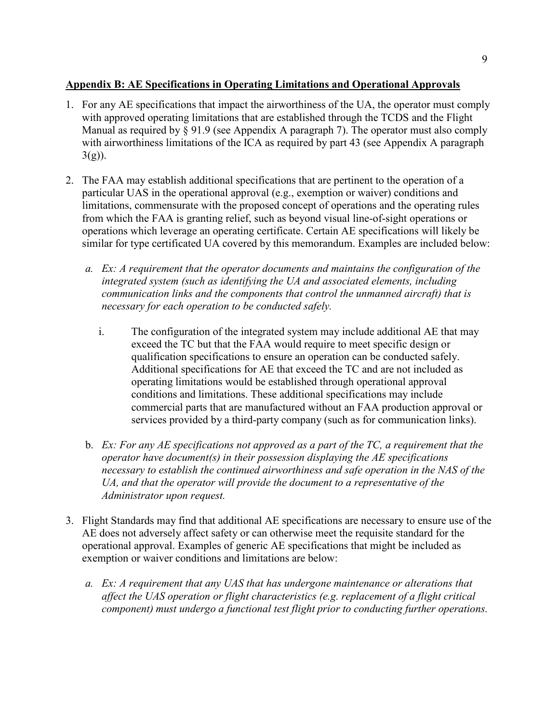# **Appendix B: AE Specifications in Operating Limitations and Operational Approvals**

- 1. For any AE specifications that impact the airworthiness of the UA, the operator must comply with approved operating limitations that are established through the TCDS and the Flight Manual as required by § 91.9 (see Appendix A paragraph 7). The operator must also comply with airworthiness limitations of the ICA as required by part 43 (see Appendix A paragraph  $3(g)$ ).
- 2. The FAA may establish additional specifications that are pertinent to the operation of a particular UAS in the operational approval (e.g., exemption or waiver) conditions and limitations, commensurate with the proposed concept of operations and the operating rules from which the FAA is granting relief, such as beyond visual line-of-sight operations or operations which leverage an operating certificate. Certain AE specifications will likely be similar for type certificated UA covered by this memorandum. Examples are included below:
	- *a. Ex: A requirement that the operator documents and maintains the configuration of the integrated system (such as identifying the UA and associated elements, including communication links and the components that control the [unmanned aircraft\) t](https://www.law.cornell.edu/definitions/uscode.php?width=840&height=800&iframe=true&def_id=49-USC-154073366-272915540&term_occur=999&term_src=title%3A49%3Asubtitle%3AVII%3Apart%3AA%3Asubpart%3Aiii%3Achapter%3A448%3Asection%3A44801)hat is necessary for each operation to be conducted safely.*
		- i. The configuration of the integrated system may include additional AE that may exceed the TC but that the FAA would require to meet specific design or qualification specifications to ensure an operation can be conducted safely. Additional specifications for AE that exceed the TC and are not included as operating limitations would be established through operational approval conditions and limitations. These additional specifications may include commercial parts that are manufactured without an FAA production approval or services provided by a third-party company (such as for communication links).
	- b. *Ex: For any AE specifications not approved as a part of the TC, a requirement that the operator have document(s) in their possession displaying the AE specifications necessary to establish the continued airworthiness and safe operation in the NAS of the UA, and that the operator will provide the document to a representative of the Administrator upon request.*
- 3. Flight Standards may find that additional AE specifications are necessary to ensure use of the AE does not adversely affect safety or can otherwise meet the requisite standard for the operational approval. Examples of generic AE specifications that might be included as exemption or waiver conditions and limitations are below:
	- *a. Ex: A requirement that any UAS that has undergone maintenance or alterations that affect the UAS operation or flight characteristics (e.g. replacement of a flight critical component) must undergo a functional test flight prior to conducting further operations.*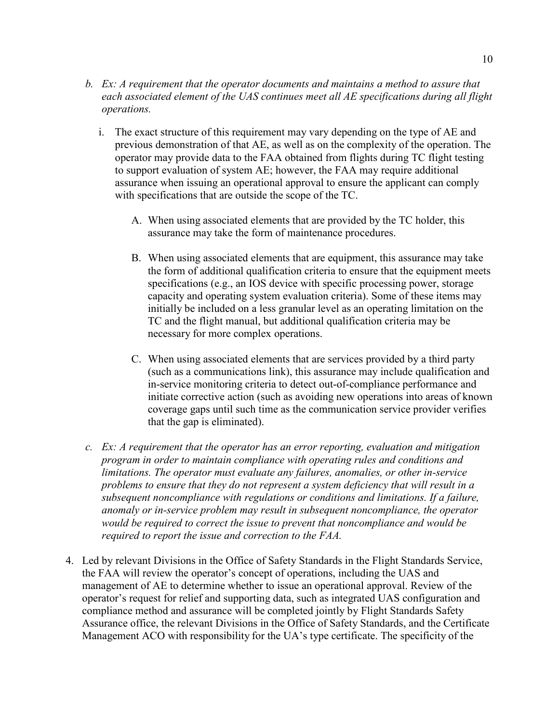- *b. Ex: A requirement that the operator documents and maintains a method to assure that each associated element of the UAS continues meet all AE specifications during all flight operations.*
	- i. The exact structure of this requirement may vary depending on the type of AE and previous demonstration of that AE, as well as on the complexity of the operation. The operator may provide data to the FAA obtained from flights during TC flight testing to support evaluation of system AE; however, the FAA may require additional assurance when issuing an operational approval to ensure the applicant can comply with specifications that are outside the scope of the TC.
		- A. When using associated elements that are provided by the TC holder, this assurance may take the form of maintenance procedures.
		- B. When using associated elements that are equipment, this assurance may take the form of additional qualification criteria to ensure that the equipment meets specifications (e.g., an IOS device with specific processing power, storage capacity and operating system evaluation criteria). Some of these items may initially be included on a less granular level as an operating limitation on the TC and the flight manual, but additional qualification criteria may be necessary for more complex operations.
		- C. When using associated elements that are services provided by a third party (such as a communications link), this assurance may include qualification and in-service monitoring criteria to detect out-of-compliance performance and initiate corrective action (such as avoiding new operations into areas of known coverage gaps until such time as the communication service provider verifies that the gap is eliminated).
- *c. Ex: A requirement that the operator has an error reporting, evaluation and mitigation program in order to maintain compliance with operating rules and conditions and limitations. The operator must evaluate any failures, anomalies, or other in-service problems to ensure that they do not represent a system deficiency that will result in a subsequent noncompliance with regulations or conditions and limitations. If a failure, anomaly or in-service problem may result in subsequent noncompliance, the operator would be required to correct the issue to prevent that noncompliance and would be required to report the issue and correction to the FAA.*
- 4. Led by relevant Divisions in the Office of Safety Standards in the Flight Standards Service, the FAA will review the operator's concept of operations, including the UAS and management of AE to determine whether to issue an operational approval. Review of the operator's request for relief and supporting data, such as integrated UAS configuration and compliance method and assurance will be completed jointly by Flight Standards Safety Assurance office, the relevant Divisions in the Office of Safety Standards, and the Certificate Management ACO with responsibility for the UA's type certificate. The specificity of the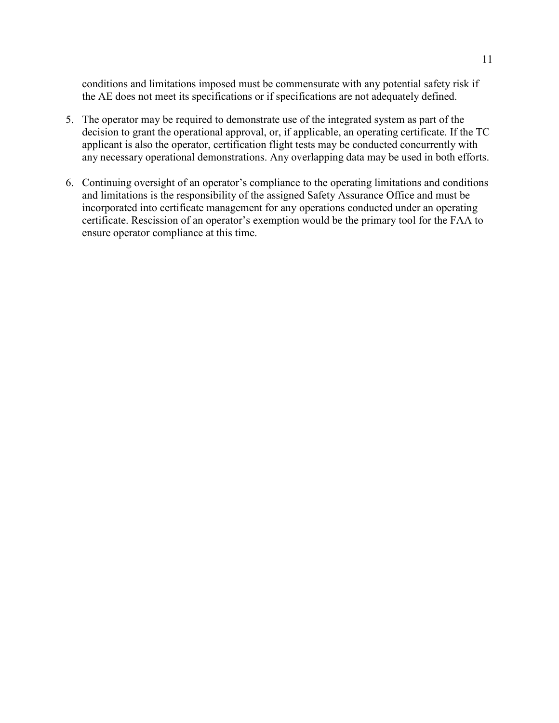conditions and limitations imposed must be commensurate with any potential safety risk if the AE does not meet its specifications or if specifications are not adequately defined.

- 5. The operator may be required to demonstrate use of the integrated system as part of the decision to grant the operational approval, or, if applicable, an operating certificate. If the TC applicant is also the operator, certification flight tests may be conducted concurrently with any necessary operational demonstrations. Any overlapping data may be used in both efforts.
- 6. Continuing oversight of an operator's compliance to the operating limitations and conditions and limitations is the responsibility of the assigned Safety Assurance Office and must be incorporated into certificate management for any operations conducted under an operating certificate. Rescission of an operator's exemption would be the primary tool for the FAA to ensure operator compliance at this time.